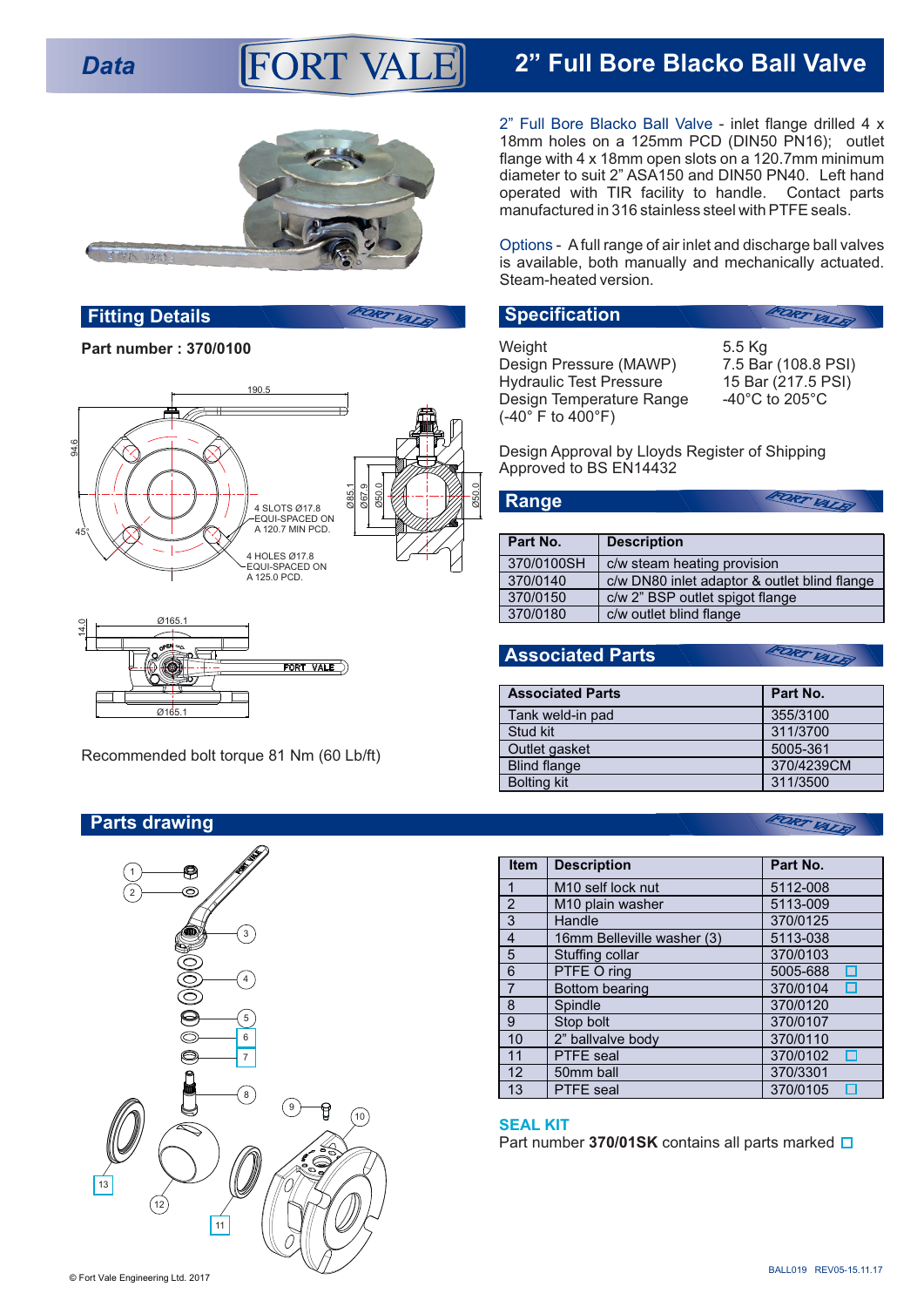## **Data 2" FULL Bore Blacko Ball Valve FORT VALE**



## **Fitting Details Specification**

**Part number : 370/0100**





**Parts drawing**



2" Full Bore Blacko Ball Valve - inlet flange drilled 4 x 18mm holes on a 125mm PCD (DIN50 PN16); outlet flange with 4 x 18mm open slots on a 120.7mm minimum diameter to suit 2" ASA150 and DIN50 PN40. Left hand operated with TIR facility to handle. Contact parts manufactured in 316 stainless steel with PTFE seals.

Options - Afull range of air inlet and discharge ball valves is available, both manually and mechanically actuated. Steam-heated version.

## FORT VALRI Weight 6.5 Kg<br>Design Pressure (MAWP) 7.5 Bar (108.8 PSI) Design Pressure (MAWP) Hydraulic Test Pressure 15 Bar (217.5 PSI) Design Temperature Range 40°C to 205°C (-40° F to 400°F)

Design Approval by Lloyds Register of Shipping Approved to BS EN14432

**Part No. Description** 370/0100SH c/w steam heating provision<br>370/0140 c/w DN80 inlet adaptor & ou c/w DN80 inlet adaptor & outlet blind flange 370/0150 c/w 2" BSP outlet spigot flange 370/0180 c/w outlet blind flange

**Associated Parts**

**Range**

FORT VALEY

FORT VALK

| <b>Associated Parts</b> | Part No.   |
|-------------------------|------------|
| Tank weld-in pad        | 355/3100   |
| Stud kit                | 311/3700   |
| Outlet gasket           | 5005-361   |
| <b>Blind flange</b>     | 370/4239CM |
| <b>Bolting kit</b>      | 311/3500   |

## FORT VALK

| <b>Item</b>    | <b>Description</b>            | Part No. |
|----------------|-------------------------------|----------|
| 1              | M <sub>10</sub> self lock nut | 5112-008 |
| $\overline{2}$ | M <sub>10</sub> plain washer  | 5113-009 |
| 3              | Handle                        | 370/0125 |
| 4              | 16mm Belleville washer (3)    | 5113-038 |
| 5              | Stuffing collar               | 370/0103 |
| 6              | PTFE O ring                   | 5005-688 |
| 7              | Bottom bearing                | 370/0104 |
| 8              | Spindle                       | 370/0120 |
| 9              | Stop bolt                     | 370/0107 |
| 10             | 2" ballvalve body             | 370/0110 |
| 11             | <b>PTFE</b> seal              | 370/0102 |
| 12             | 50mm ball                     | 370/3301 |
| 13             | <b>PTFE</b> seal              | 370/0105 |

## **SEAL KIT**

Part number **370/01SK** contains all parts marked **□**